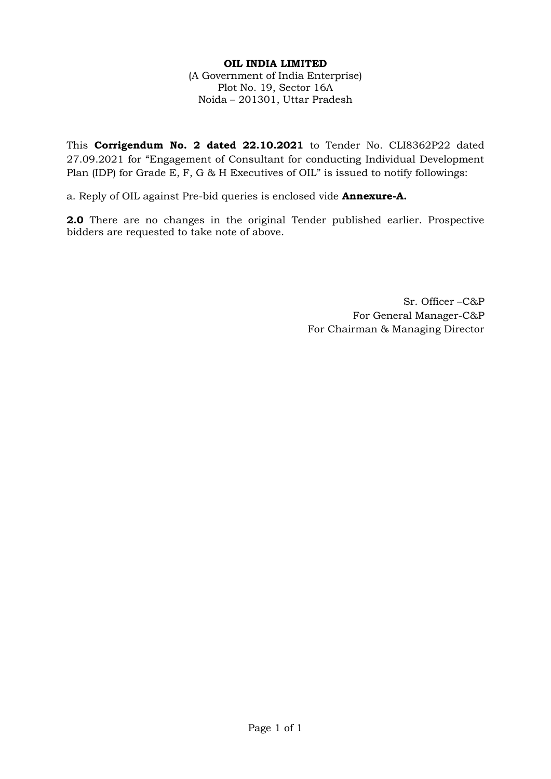## **OIL INDIA LIMITED** (A Government of India Enterprise) Plot No. 19, Sector 16A Noida – 201301, Uttar Pradesh

This **Corrigendum No. 2 dated 22.10.2021** to Tender No. CLI8362P22 dated 27.09.2021 for "Engagement of Consultant for conducting Individual Development Plan (IDP) for Grade E, F, G & H Executives of OIL" is issued to notify followings:

a. Reply of OIL against Pre-bid queries is enclosed vide **Annexure-A.**

**2.0** There are no changes in the original Tender published earlier. Prospective bidders are requested to take note of above.

> Sr. Officer –C&P For General Manager-C&P For Chairman & Managing Director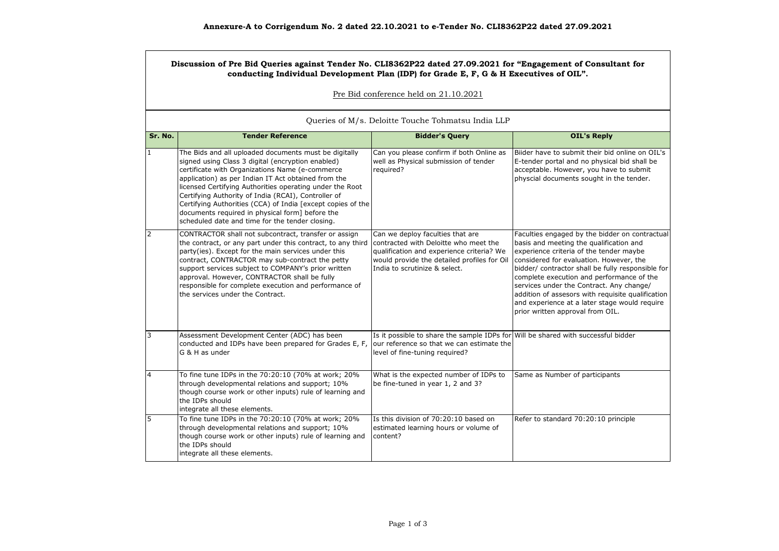#### **Discussion of Pre Bid Queries against Tender No. CLI8362P22 dated 27.09.2021 for "Engagement of Consultant for conducting Individual Development Plan (IDP) for Grade E, F, G & H Executives of OIL".**

#### Pre Bid conference held on 21.10.2021

| Queries of M/s. Deloitte Touche Tohmatsu India LLP |                                                                                                                                                                                                                                                                                                                                                                                                                                                                                                              |                                                                                                                                                                                                        |                                                                                                                                                                                                                                                                                                                                                                                                                                                                         |  |  |
|----------------------------------------------------|--------------------------------------------------------------------------------------------------------------------------------------------------------------------------------------------------------------------------------------------------------------------------------------------------------------------------------------------------------------------------------------------------------------------------------------------------------------------------------------------------------------|--------------------------------------------------------------------------------------------------------------------------------------------------------------------------------------------------------|-------------------------------------------------------------------------------------------------------------------------------------------------------------------------------------------------------------------------------------------------------------------------------------------------------------------------------------------------------------------------------------------------------------------------------------------------------------------------|--|--|
| Sr. No.                                            | <b>Tender Reference</b>                                                                                                                                                                                                                                                                                                                                                                                                                                                                                      | <b>Bidder's Query</b>                                                                                                                                                                                  | <b>OIL's Reply</b>                                                                                                                                                                                                                                                                                                                                                                                                                                                      |  |  |
| $\mathbf{1}$                                       | The Bids and all uploaded documents must be digitally<br>signed using Class 3 digital (encryption enabled)<br>certificate with Organizations Name (e-commerce<br>application) as per Indian IT Act obtained from the<br>licensed Certifying Authorities operating under the Root<br>Certifying Authority of India (RCAI), Controller of<br>Certifying Authorities (CCA) of India [except copies of the<br>documents required in physical form] before the<br>scheduled date and time for the tender closing. | Can you please confirm if both Online as<br>well as Physical submission of tender<br>required?                                                                                                         | Bijder have to submit their bid online on OIL's<br>E-tender portal and no physical bid shall be<br>acceptable. However, you have to submit<br>physcial documents sought in the tender.                                                                                                                                                                                                                                                                                  |  |  |
| $\overline{2}$                                     | CONTRACTOR shall not subcontract, transfer or assign<br>the contract, or any part under this contract, to any third<br>party(ies). Except for the main services under this<br>contract, CONTRACTOR may sub-contract the petty<br>support services subject to COMPANY's prior written<br>approval. However, CONTRACTOR shall be fully<br>responsible for complete execution and performance of<br>the services under the Contract.                                                                            | Can we deploy faculties that are<br>contracted with Deloitte who meet the<br>qualification and experience criteria? We<br>would provide the detailed profiles for Oil<br>India to scrutinize & select. | Faculties engaged by the bidder on contractual<br>basis and meeting the qualification and<br>experience criteria of the tender maybe<br>considered for evaluation. However, the<br>bidder/ contractor shall be fully responsible for<br>complete execution and performance of the<br>services under the Contract. Any change/<br>addition of assesors with requisite qualification<br>and experience at a later stage would require<br>prior written approval from OIL. |  |  |
| 3                                                  | Assessment Development Center (ADC) has been<br>conducted and IDPs have been prepared for Grades E, F,<br>G & H as under                                                                                                                                                                                                                                                                                                                                                                                     | Is it possible to share the sample IDPs for Will be shared with successful bidder<br>our reference so that we can estimate the<br>level of fine-tuning required?                                       |                                                                                                                                                                                                                                                                                                                                                                                                                                                                         |  |  |
| $\overline{4}$                                     | To fine tune IDPs in the 70:20:10 (70% at work; 20%<br>through developmental relations and support; 10%<br>though course work or other inputs) rule of learning and<br>the IDPs should<br>integrate all these elements.                                                                                                                                                                                                                                                                                      | What is the expected number of IDPs to<br>be fine-tuned in year 1, 2 and 3?                                                                                                                            | Same as Number of participants                                                                                                                                                                                                                                                                                                                                                                                                                                          |  |  |
| 5                                                  | To fine tune IDPs in the 70:20:10 (70% at work; 20%<br>through developmental relations and support; 10%<br>though course work or other inputs) rule of learning and<br>the IDPs should<br>integrate all these elements.                                                                                                                                                                                                                                                                                      | Is this division of 70:20:10 based on<br>estimated learning hours or volume of<br>content?                                                                                                             | Refer to standard 70:20:10 principle                                                                                                                                                                                                                                                                                                                                                                                                                                    |  |  |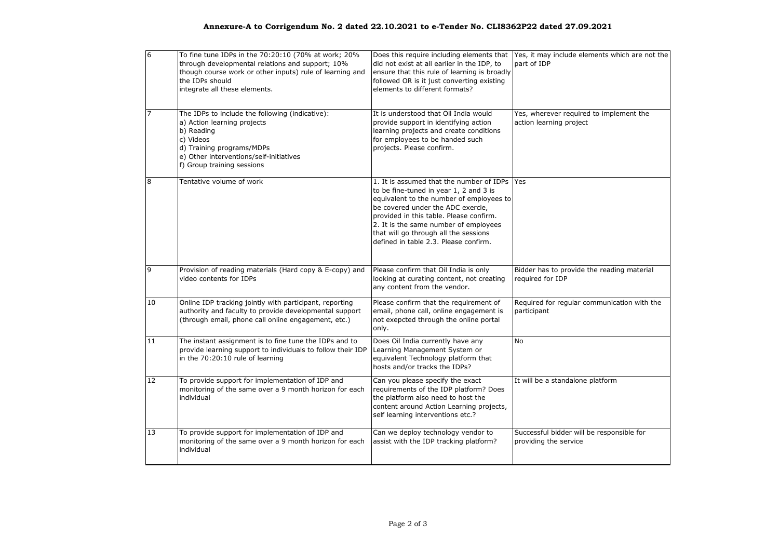### **Annexure-A to Corrigendum No. 2 dated 22.10.2021 to e-Tender No. CLI8362P22 dated 27.09.2021**

| 6              | To fine tune IDPs in the 70:20:10 (70% at work; 20%<br>through developmental relations and support; 10%<br>though course work or other inputs) rule of learning and<br>the IDPs should<br>integrate all these elements. | did not exist at all earlier in the IDP, to<br>ensure that this rule of learning is broadly<br>followed OR is it just converting existing<br>elements to different formats?                                                                                                                                                               | Does this require including elements that Yes, it may include elements which are not the<br>part of IDP |
|----------------|-------------------------------------------------------------------------------------------------------------------------------------------------------------------------------------------------------------------------|-------------------------------------------------------------------------------------------------------------------------------------------------------------------------------------------------------------------------------------------------------------------------------------------------------------------------------------------|---------------------------------------------------------------------------------------------------------|
| $\overline{7}$ | The IDPs to include the following (indicative):<br>a) Action learning projects<br>b) Reading<br>c) Videos<br>d) Training programs/MDPs<br>e) Other interventions/self-initiatives<br>f) Group training sessions         | It is understood that Oil India would<br>provide support in identifying action<br>learning projects and create conditions<br>for employees to be handed such<br>projects. Please confirm.                                                                                                                                                 | Yes, wherever required to implement the<br>action learning project                                      |
| 8              | Tentative volume of work                                                                                                                                                                                                | 1. It is assumed that the number of IDPs<br>to be fine-tuned in year 1, 2 and 3 is<br>equivalent to the number of employees to<br>be covered under the ADC exercie,<br>provided in this table. Please confirm.<br>2. It is the same number of employees<br>that will go through all the sessions<br>defined in table 2.3. Please confirm. | Yes                                                                                                     |
| 9              | Provision of reading materials (Hard copy & E-copy) and<br>video contents for IDPs                                                                                                                                      | Please confirm that Oil India is only<br>looking at curating content, not creating<br>any content from the vendor.                                                                                                                                                                                                                        | Bidder has to provide the reading material<br>required for IDP                                          |
| 10             | Online IDP tracking jointly with participant, reporting<br>authority and faculty to provide developmental support<br>(through email, phone call online engagement, etc.)                                                | Please confirm that the requirement of<br>email, phone call, online engagement is<br>not exepcted through the online portal<br>only.                                                                                                                                                                                                      | Required for regular communication with the<br>participant                                              |
| 11             | The instant assignment is to fine tune the IDPs and to<br>provide learning support to individuals to follow their IDP<br>in the 70:20:10 rule of learning                                                               | Does Oil India currently have any<br>Learning Management System or<br>equivalent Technology platform that<br>hosts and/or tracks the IDPs?                                                                                                                                                                                                | <b>No</b>                                                                                               |
| 12             | To provide support for implementation of IDP and<br>monitoring of the same over a 9 month horizon for each<br>individual                                                                                                | Can you please specify the exact<br>requirements of the IDP platform? Does<br>the platform also need to host the<br>content around Action Learning projects,<br>self learning interventions etc.?                                                                                                                                         | It will be a standalone platform                                                                        |
| 13             | To provide support for implementation of IDP and<br>monitoring of the same over a 9 month horizon for each<br>individual                                                                                                | Can we deploy technology vendor to<br>assist with the IDP tracking platform?                                                                                                                                                                                                                                                              | Successful bidder will be responsible for<br>providing the service                                      |